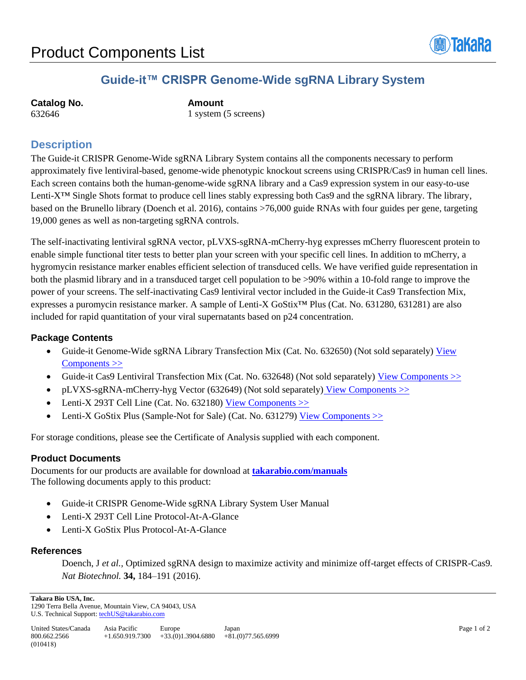

# **Guide-it™ CRISPR Genome-Wide sgRNA Library System**

| <b>Catalog No.</b> |  |
|--------------------|--|
| 632646             |  |

**Catalog No. Amount** 1 system (5 screens)

## **Description**

The Guide-it CRISPR Genome-Wide sgRNA Library System contains all the components necessary to perform approximately five lentiviral-based, genome-wide phenotypic knockout screens using CRISPR/Cas9 in human cell lines. Each screen contains both the human-genome-wide sgRNA library and a Cas9 expression system in our easy-to-use Lenti-X™ Single Shots format to produce cell lines stably expressing both Cas9 and the sgRNA library. The library, based on the Brunello library (Doench et al. 2016), contains >76,000 guide RNAs with four guides per gene, targeting 19,000 genes as well as non-targeting sgRNA controls.

The self-inactivating lentiviral sgRNA vector, pLVXS-sgRNA-mCherry-hyg expresses mCherry fluorescent protein to enable simple functional titer tests to better plan your screen with your specific cell lines. In addition to mCherry, a hygromycin resistance marker enables efficient selection of transduced cells. We have verified guide representation in both the plasmid library and in a transduced target cell population to be >90% within a 10-fold range to improve the power of your screens. The self-inactivating Cas9 lentiviral vector included in the Guide-it Cas9 Transfection Mix, expresses a puromycin resistance marker. A sample of Lenti-X GoStix™ Plus (Cat. No. 631280, 631281) are also included for rapid quantitation of your viral supernatants based on p24 concentration.

### **Package Contents**

- Guide-it Genome-Wide sgRNA Library Transfection Mix (Cat. No. 632650) (Not sold separately) [View](http://www.takarabio.com/resourcedocument/x98806) [Components >>](http://www.clontech.com/ibcGetAttachment.jsp?cItemId=137448)
- Guide-it Cas9 Lentiviral Transfection Mix (Cat. No. 632648) (Not sold separately) View Components  $\gg$
- pLVXS-sgRNA-mCherry-hyg Vector (632649) (Not sold separately) [View Components >>](http://www.takarabio.com/resourcedocument/x98805)
- Lenti-X 293T Cell Line (Cat. No. 632180) View Components  $\gg$
- Lenti-X GoStix Plus (Sample-Not for Sale) (Cat. No. 631279) [View Components >>](http://www.takarabio.com/resourcedocument/x98516)

For storage conditions, please see the Certificate of Analysis supplied with each component.

#### **Product Documents**

Documents for our products are available for download at **[takarabio.com/manuals](http://www.takarabio.com/manuals)** The following documents apply to this product:

- Guide-it CRISPR Genome-Wide sgRNA Library System User Manual
- Lenti-X 293T Cell Line Protocol-At-A-Glance
- Lenti-X GoStix Plus Protocol-At-A-Glance

#### **References**

Doench, J *et al.,* Optimized sgRNA design to maximize activity and minimize off-target effects of CRISPR-Cas9*. Nat Biotechnol.* **34,** 184–191 (2016).

**Takara Bio USA, Inc.**  1290 Terra Bella Avenue, Mountain View, CA 94043, USA U.S. Technical Support[: techUS@takarabio.com](mailto:techUS@takarabio.com)